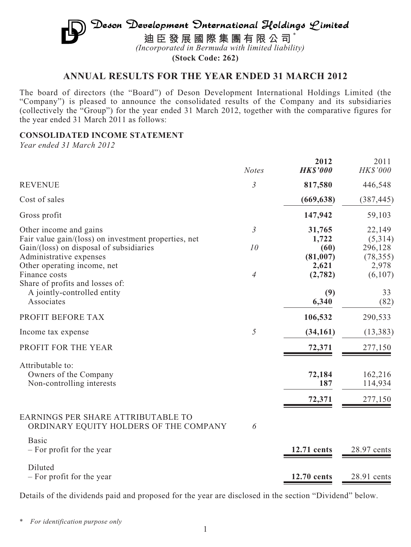# Deson Development Onternational Holdings Limited **迪臣發展國際集團有限公司** \* *(Incorporated in Bermuda with limited liability)*

**(Stock Code: 262)**

# **ANNUAL RESULTS FOR THE YEAR ENDED 31 MARCH 2012**

The board of directors (the "Board") of Deson Development International Holdings Limited (the "Company") is pleased to announce the consolidated results of the Company and its subsidiaries (collectively the "Group") for the year ended 31 March 2012, together with the comparative figures for the year ended 31 March 2011 as follows:

### **CONSOLIDATED INCOME STATEMENT**

*Year ended 31 March 2012*

|                                                                                 | <b>Notes</b>   | 2012<br><b>HK\$'000</b> | 2011<br>HK\$'000     |
|---------------------------------------------------------------------------------|----------------|-------------------------|----------------------|
| <b>REVENUE</b>                                                                  | $\mathfrak{Z}$ | 817,580                 | 446,548              |
| Cost of sales                                                                   |                | (669, 638)              | (387, 445)           |
| Gross profit                                                                    |                | 147,942                 | 59,103               |
| Other income and gains<br>Fair value gain/(loss) on investment properties, net  | $\mathfrak{Z}$ | 31,765<br>1,722         | 22,149<br>(5,314)    |
| Gain/(loss) on disposal of subsidiaries<br>Administrative expenses              | 10             | (60)<br>(81,007)        | 296,128<br>(78, 355) |
| Other operating income, net<br>Finance costs<br>Share of profits and losses of: | $\overline{4}$ | 2,621<br>(2,782)        | 2,978<br>(6,107)     |
| A jointly-controlled entity<br>Associates                                       |                | (9)<br>6,340            | 33<br>(82)           |
| PROFIT BEFORE TAX                                                               |                | 106,532                 | 290,533              |
| Income tax expense                                                              | 5              | (34, 161)               | (13, 383)            |
| PROFIT FOR THE YEAR                                                             |                | 72,371                  | 277,150              |
| Attributable to:<br>Owners of the Company<br>Non-controlling interests          |                | 72,184<br>187           | 162,216<br>114,934   |
|                                                                                 |                | 72,371                  | 277,150              |
| EARNINGS PER SHARE ATTRIBUTABLE TO<br>ORDINARY EQUITY HOLDERS OF THE COMPANY    | 6              |                         |                      |
| Basic<br>- For profit for the year                                              |                | 12.71 cents             | 28.97 cents          |
| Diluted<br>- For profit for the year                                            |                | 12.70 cents             | 28.91 cents          |

Details of the dividends paid and proposed for the year are disclosed in the section "Dividend" below.

\* *For identification purpose only*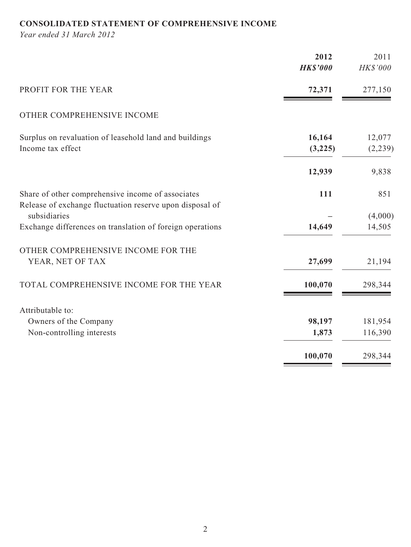# **CONSOLIDATED STATEMENT OF COMPREHENSIVE INCOME**

*Year ended 31 March 2012*

|                                                                                                               | 2012<br><b>HK\$'000</b> | 2011<br>HK\$'000  |
|---------------------------------------------------------------------------------------------------------------|-------------------------|-------------------|
| PROFIT FOR THE YEAR                                                                                           | 72,371                  | 277,150           |
| OTHER COMPREHENSIVE INCOME                                                                                    |                         |                   |
| Surplus on revaluation of leasehold land and buildings<br>Income tax effect                                   | 16,164<br>(3,225)       | 12,077<br>(2,239) |
|                                                                                                               | 12,939                  | 9,838             |
| Share of other comprehensive income of associates<br>Release of exchange fluctuation reserve upon disposal of | 111                     | 851               |
| subsidiaries                                                                                                  |                         | (4,000)           |
| Exchange differences on translation of foreign operations                                                     | 14,649                  | 14,505            |
| OTHER COMPREHENSIVE INCOME FOR THE                                                                            |                         |                   |
| YEAR, NET OF TAX                                                                                              | 27,699                  | 21,194            |
| TOTAL COMPREHENSIVE INCOME FOR THE YEAR                                                                       | 100,070                 | 298,344           |
| Attributable to:                                                                                              |                         |                   |
| Owners of the Company                                                                                         | 98,197                  | 181,954           |
| Non-controlling interests                                                                                     | 1,873                   | 116,390           |
|                                                                                                               | 100,070                 | 298,344           |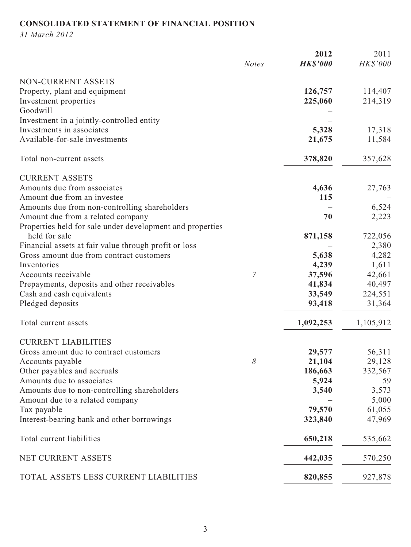# **CONSOLIDATED STATEMENT OF FINANCIAL POSITION**

*31 March 2012*

|                                                           | <b>Notes</b> | 2012<br><b>HK\$'000</b> | 2011<br>HK\$'000 |
|-----------------------------------------------------------|--------------|-------------------------|------------------|
|                                                           |              |                         |                  |
| NON-CURRENT ASSETS                                        |              |                         |                  |
| Property, plant and equipment                             |              | 126,757                 | 114,407          |
| Investment properties                                     |              | 225,060                 | 214,319          |
| Goodwill                                                  |              |                         |                  |
| Investment in a jointly-controlled entity                 |              |                         |                  |
| Investments in associates                                 |              | 5,328                   | 17,318           |
| Available-for-sale investments                            |              | 21,675                  | 11,584           |
| Total non-current assets                                  |              | 378,820                 | 357,628          |
| <b>CURRENT ASSETS</b>                                     |              |                         |                  |
| Amounts due from associates                               |              | 4,636                   | 27,763           |
| Amount due from an investee                               |              | 115                     |                  |
| Amounts due from non-controlling shareholders             |              |                         | 6,524            |
| Amount due from a related company                         |              | 70                      | 2,223            |
| Properties held for sale under development and properties |              |                         |                  |
| held for sale                                             |              | 871,158                 | 722,056          |
| Financial assets at fair value through profit or loss     |              |                         | 2,380            |
| Gross amount due from contract customers                  |              | 5,638                   | 4,282            |
| Inventories                                               |              | 4,239                   | 1,611            |
| Accounts receivable                                       | 7            | 37,596                  | 42,661           |
| Prepayments, deposits and other receivables               |              | 41,834                  | 40,497           |
| Cash and cash equivalents                                 |              | 33,549                  | 224,551          |
| Pledged deposits                                          |              | 93,418                  | 31,364           |
| Total current assets                                      |              | 1,092,253               | 1,105,912        |
| <b>CURRENT LIABILITIES</b>                                |              |                         |                  |
| Gross amount due to contract customers                    |              | 29,577                  | 56,311           |
| Accounts payable                                          | $\delta$     | 21,104                  | 29,128           |
| Other payables and accruals                               |              | 186,663                 | 332,567          |
| Amounts due to associates                                 |              | 5,924                   | 59               |
| Amounts due to non-controlling shareholders               |              | 3,540                   | 3,573            |
| Amount due to a related company                           |              |                         | 5,000            |
| Tax payable                                               |              | 79,570                  | 61,055           |
| Interest-bearing bank and other borrowings                |              | 323,840                 | 47,969           |
| Total current liabilities                                 |              | 650,218                 | 535,662          |
| NET CURRENT ASSETS                                        |              | 442,035                 | 570,250          |
| TOTAL ASSETS LESS CURRENT LIABILITIES                     |              | 820,855                 | 927,878          |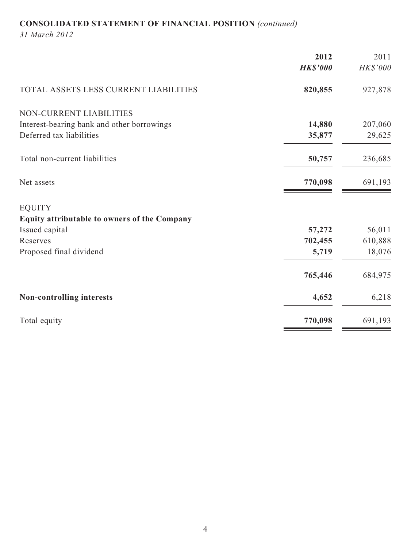# **CONSOLIDATED STATEMENT OF FINANCIAL POSITION** *(continued)*

*31 March 2012*

| 2012                                                 | 2011     |
|------------------------------------------------------|----------|
| <b>HK\$'000</b>                                      | HK\$'000 |
| TOTAL ASSETS LESS CURRENT LIABILITIES<br>820,855     | 927,878  |
| NON-CURRENT LIABILITIES                              |          |
| Interest-bearing bank and other borrowings<br>14,880 | 207,060  |
| Deferred tax liabilities<br>35,877                   | 29,625   |
| Total non-current liabilities<br>50,757              | 236,685  |
| 770,098<br>Net assets                                | 691,193  |
| <b>EQUITY</b>                                        |          |
| Equity attributable to owners of the Company         |          |
| 57,272<br>Issued capital                             | 56,011   |
| 702,455<br>Reserves                                  | 610,888  |
| 5,719<br>Proposed final dividend                     | 18,076   |
| 765,446                                              | 684,975  |
| 4,652<br><b>Non-controlling interests</b>            | 6,218    |
| 770,098<br>Total equity                              | 691,193  |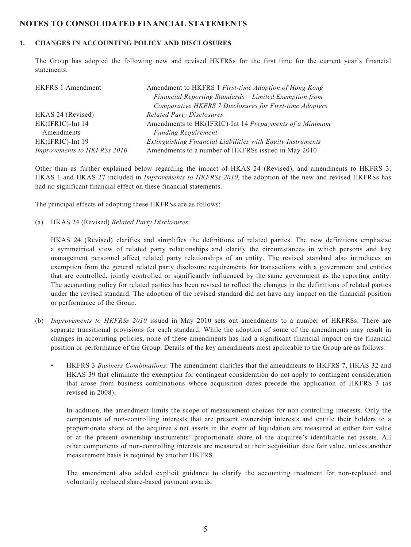### **NOTES TO CONSOLIDATED FINANCIAL STATEMENTS**

#### **1. CHANGES IN ACCOUNTING POLICY AND DISCLOSURES**

The Group has adopted the following new and revised HKFRSs for the first time for the current year's financial statements.

| <b>HKFRS 1 Amendment</b>    | Amendment to HKFRS 1 First-time Adoption of Hong Kong       |
|-----------------------------|-------------------------------------------------------------|
|                             | Financial Reporting Standards - Limited Exemption from      |
|                             | Comparative HKFRS 7 Disclosures for First-time Adopters     |
| HKAS 24 (Revised)           | <b>Related Party Disclosures</b>                            |
| HK(IFRIC)-Int 14            | Amendments to HK(IFRIC)-Int 14 Prepayments of a Minimum     |
| Amendments                  | <b>Funding Requirement</b>                                  |
| HK(IFRIC)-Int 19            | Extinguishing Financial Liabilities with Equity Instruments |
| Improvements to HKFRSs 2010 | Amendments to a number of HKFRSs issued in May 2010         |

Other than as further explained below regarding the impact of HKAS 24 (Revised), and amendments to HKFRS 3, HKAS 1 and HKAS 27 included in *Improvements to HKFRSs 2010*, the adoption of the new and revised HKFRSs has had no significant financial effect on these financial statements.

The principal effects of adopting these HKFRSs are as follows:

(a) HKAS 24 (Revised) *Related Party Disclosures*

HKAS 24 (Revised) clarifies and simplifies the definitions of related parties. The new definitions emphasise a symmetrical view of related party relationships and clarify the circumstances in which persons and key management personnel affect related party relationships of an entity. The revised standard also introduces an exemption from the general related party disclosure requirements for transactions with a government and entities that are controlled, jointly controlled or significantly influenced by the same government as the reporting entity. The accounting policy for related parties has been revised to reflect the changes in the definitions of related parties under the revised standard. The adoption of the revised standard did not have any impact on the financial position or performance of the Group.

- (b) *Improvements to HKFRSs 2010* issued in May 2010 sets out amendments to a number of HKFRSs. There are separate transitional provisions for each standard. While the adoption of some of the amendments may result in changes in accounting policies, none of these amendments has had a significant financial impact on the financial position or performance of the Group. Details of the key amendments most applicable to the Group are as follows:
	- HKFRS 3 *Business Combinations*: The amendment clarifies that the amendments to HKFRS 7, HKAS 32 and HKAS 39 that eliminate the exemption for contingent consideration do not apply to contingent consideration that arose from business combinations whose acquisition dates precede the application of HKFRS 3 (as revised in 2008).

 In addition, the amendment limits the scope of measurement choices for non-controlling interests. Only the components of non-controlling interests that are present ownership interests and entitle their holders to a proportionate share of the acquiree's net assets in the event of liquidation are measured at either fair value or at the present ownership instruments' proportionate share of the acquiree's identifiable net assets. All other components of non-controlling interests are measured at their acquisition date fair value, unless another measurement basis is required by another HKFRS.

 The amendment also added explicit guidance to clarify the accounting treatment for non-replaced and voluntarily replaced share-based payment awards.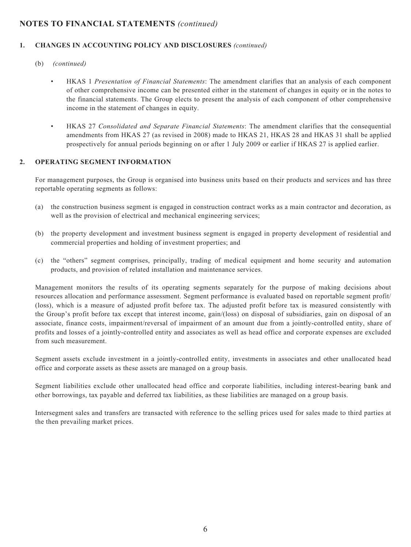#### **1. CHANGES IN ACCOUNTING POLICY AND DISCLOSURES** *(continued)*

- (b) *(continued)*
	- HKAS 1 *Presentation of Financial Statements*: The amendment clarifies that an analysis of each component of other comprehensive income can be presented either in the statement of changes in equity or in the notes to the financial statements. The Group elects to present the analysis of each component of other comprehensive income in the statement of changes in equity.
	- HKAS 27 *Consolidated and Separate Financial Statements*: The amendment clarifies that the consequential amendments from HKAS 27 (as revised in 2008) made to HKAS 21, HKAS 28 and HKAS 31 shall be applied prospectively for annual periods beginning on or after 1 July 2009 or earlier if HKAS 27 is applied earlier.

#### **2. OPERATING SEGMENT INFORMATION**

For management purposes, the Group is organised into business units based on their products and services and has three reportable operating segments as follows:

- (a) the construction business segment is engaged in construction contract works as a main contractor and decoration, as well as the provision of electrical and mechanical engineering services;
- (b) the property development and investment business segment is engaged in property development of residential and commercial properties and holding of investment properties; and
- (c) the "others" segment comprises, principally, trading of medical equipment and home security and automation products, and provision of related installation and maintenance services.

Management monitors the results of its operating segments separately for the purpose of making decisions about resources allocation and performance assessment. Segment performance is evaluated based on reportable segment profit/ (loss), which is a measure of adjusted profit before tax. The adjusted profit before tax is measured consistently with the Group's profit before tax except that interest income, gain/(loss) on disposal of subsidiaries, gain on disposal of an associate, finance costs, impairment/reversal of impairment of an amount due from a jointly-controlled entity, share of profits and losses of a jointly-controlled entity and associates as well as head office and corporate expenses are excluded from such measurement.

Segment assets exclude investment in a jointly-controlled entity, investments in associates and other unallocated head office and corporate assets as these assets are managed on a group basis.

Segment liabilities exclude other unallocated head office and corporate liabilities, including interest-bearing bank and other borrowings, tax payable and deferred tax liabilities, as these liabilities are managed on a group basis.

Intersegment sales and transfers are transacted with reference to the selling prices used for sales made to third parties at the then prevailing market prices.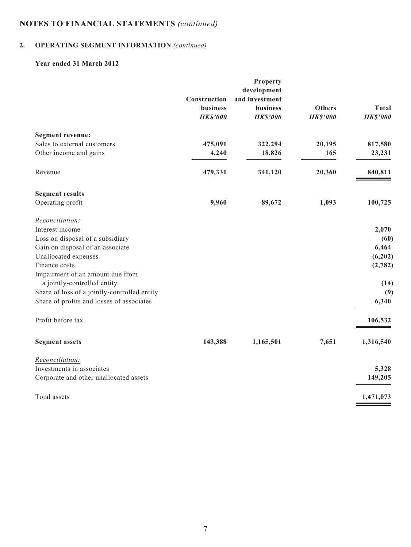### **2. OPERATING SEGMENT INFORMATION** *(continued)*

#### **Year ended 31 March 2012**

|                                                                             |                          | <b>Property</b>            |                 |                 |
|-----------------------------------------------------------------------------|--------------------------|----------------------------|-----------------|-----------------|
|                                                                             |                          | development                |                 |                 |
|                                                                             | Construction<br>business | and investment<br>business | <b>Others</b>   | <b>Total</b>    |
|                                                                             | <b>HK\$'000</b>          | <b>HK\$'000</b>            | <b>HK\$'000</b> | <b>HK\$'000</b> |
|                                                                             |                          |                            |                 |                 |
| <b>Segment revenue:</b>                                                     |                          |                            |                 |                 |
| Sales to external customers                                                 | 475,091                  | 322,294                    | 20,195          | 817,580         |
| Other income and gains                                                      | 4,240                    | 18,826                     | 165             | 23,231          |
| Revenue                                                                     | 479,331                  | 341,120                    | 20,360          | 840,811         |
| <b>Segment results</b>                                                      |                          |                            |                 |                 |
| Operating profit                                                            | 9,960                    | 89,672                     | 1,093           | 100,725         |
| Reconciliation:                                                             |                          |                            |                 |                 |
| Interest income                                                             |                          |                            |                 | 2,070           |
| Loss on disposal of a subsidiary                                            |                          |                            |                 | (60)            |
| Gain on disposal of an associate                                            |                          |                            |                 | 6,464           |
| Unallocated expenses                                                        |                          |                            |                 | (6,202)         |
| Finance costs                                                               |                          |                            |                 | (2,782)         |
| Impairment of an amount due from                                            |                          |                            |                 |                 |
| a jointly-controlled entity<br>Share of loss of a jointly-controlled entity |                          |                            |                 | (14)            |
| Share of profits and losses of associates                                   |                          |                            |                 | (9)<br>6,340    |
|                                                                             |                          |                            |                 |                 |
| Profit before tax                                                           |                          |                            |                 | 106,532         |
| <b>Segment assets</b>                                                       | 143,388                  | 1,165,501                  | 7,651           | 1,316,540       |
| Reconciliation:                                                             |                          |                            |                 |                 |
| Investments in associates                                                   |                          |                            |                 | 5,328           |
| Corporate and other unallocated assets                                      |                          |                            |                 | 149,205         |
|                                                                             |                          |                            |                 |                 |
| Total assets                                                                |                          |                            |                 | 1,471,073       |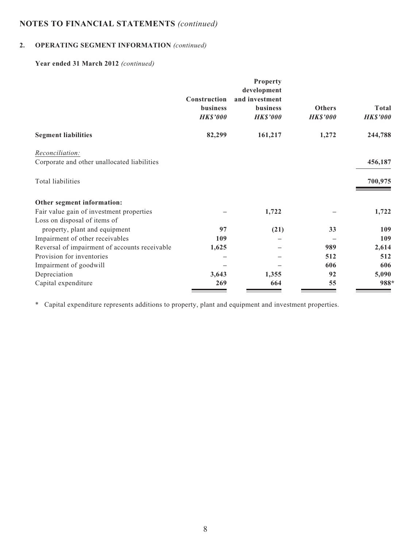### **2. OPERATING SEGMENT INFORMATION** *(continued)*

### **Year ended 31 March 2012** *(continued)*

|                                               | Construction                       | Property<br>development<br>and investment |                                  |                                 |
|-----------------------------------------------|------------------------------------|-------------------------------------------|----------------------------------|---------------------------------|
|                                               | <b>business</b><br><b>HK\$'000</b> | <b>business</b><br><b>HK\$'000</b>        | <b>Others</b><br><b>HK\$'000</b> | <b>Total</b><br><b>HK\$'000</b> |
|                                               |                                    |                                           |                                  |                                 |
| <b>Segment liabilities</b>                    | 82,299                             | 161,217                                   | 1,272                            | 244,788                         |
| Reconciliation:                               |                                    |                                           |                                  |                                 |
| Corporate and other unallocated liabilities   |                                    |                                           |                                  | 456,187                         |
| Total liabilities                             |                                    |                                           |                                  | 700,975                         |
|                                               |                                    |                                           |                                  |                                 |
| Other segment information:                    |                                    |                                           |                                  |                                 |
| Fair value gain of investment properties      |                                    | 1,722                                     |                                  | 1,722                           |
| Loss on disposal of items of                  |                                    |                                           |                                  |                                 |
| property, plant and equipment                 | 97                                 | (21)                                      | 33                               | 109                             |
| Impairment of other receivables               | 109                                |                                           |                                  | 109                             |
| Reversal of impairment of accounts receivable | 1,625                              |                                           | 989                              | 2,614                           |
| Provision for inventories                     |                                    |                                           | 512                              | 512                             |
| Impairment of goodwill                        |                                    |                                           | 606                              | 606                             |
| Depreciation                                  | 3,643                              | 1,355                                     | 92                               | 5,090                           |
| Capital expenditure                           | 269                                | 664                                       | 55                               | 988*                            |

\* Capital expenditure represents additions to property, plant and equipment and investment properties.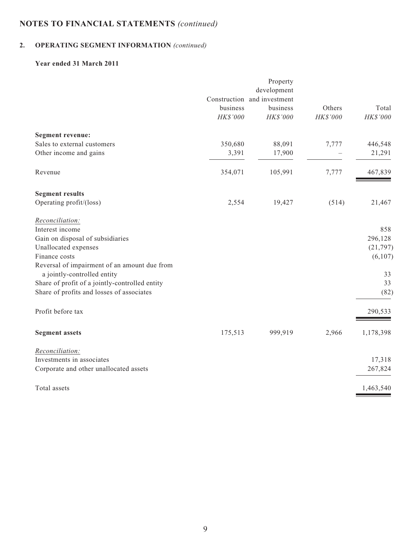### **2. OPERATING SEGMENT INFORMATION** *(continued)*

#### **Year ended 31 March 2011**

|                                                |          | Property                    |          |           |
|------------------------------------------------|----------|-----------------------------|----------|-----------|
|                                                |          | development                 |          |           |
|                                                |          | Construction and investment |          |           |
|                                                | business | business                    | Others   | Total     |
|                                                | HK\$'000 | HK\$'000                    | HK\$'000 | HK\$'000  |
| <b>Segment revenue:</b>                        |          |                             |          |           |
| Sales to external customers                    | 350,680  | 88,091                      | 7,777    | 446,548   |
| Other income and gains                         | 3,391    | 17,900                      |          | 21,291    |
| Revenue                                        | 354,071  | 105,991                     | 7,777    | 467,839   |
| <b>Segment results</b>                         |          |                             |          |           |
| Operating profit/(loss)                        | 2,554    | 19,427                      | (514)    | 21,467    |
| Reconciliation:                                |          |                             |          |           |
| Interest income                                |          |                             |          | 858       |
| Gain on disposal of subsidiaries               |          |                             |          | 296,128   |
| Unallocated expenses                           |          |                             |          | (21, 797) |
| Finance costs                                  |          |                             |          | (6,107)   |
| Reversal of impairment of an amount due from   |          |                             |          |           |
| a jointly-controlled entity                    |          |                             |          | 33        |
| Share of profit of a jointly-controlled entity |          |                             |          | 33        |
| Share of profits and losses of associates      |          |                             |          | (82)      |
| Profit before tax                              |          |                             |          | 290,533   |
| <b>Segment assets</b>                          | 175,513  | 999,919                     | 2,966    | 1,178,398 |
| Reconciliation:                                |          |                             |          |           |
| Investments in associates                      |          |                             |          | 17,318    |
| Corporate and other unallocated assets         |          |                             |          | 267,824   |
| Total assets                                   |          |                             |          | 1,463,540 |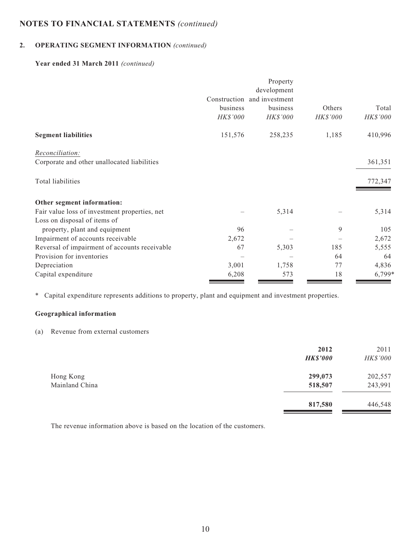### **2. OPERATING SEGMENT INFORMATION** *(continued)*

#### **Year ended 31 March 2011** *(continued)*

|                                               |          | Property<br>development     |          |          |
|-----------------------------------------------|----------|-----------------------------|----------|----------|
|                                               |          | Construction and investment |          |          |
|                                               | business | business                    | Others   | Total    |
|                                               | HK\$'000 | HK\$'000                    | HK\$'000 | HK\$'000 |
| <b>Segment liabilities</b>                    | 151,576  | 258,235                     | 1,185    | 410,996  |
| <i>Reconciliation:</i>                        |          |                             |          |          |
| Corporate and other unallocated liabilities   |          |                             |          | 361,351  |
| Total liabilities                             |          |                             |          | 772,347  |
| Other segment information:                    |          |                             |          |          |
| Fair value loss of investment properties, net |          | 5,314                       |          | 5,314    |
| Loss on disposal of items of                  |          |                             |          |          |
| property, plant and equipment                 | 96       |                             | 9        | 105      |
| Impairment of accounts receivable             | 2,672    |                             |          | 2,672    |
| Reversal of impairment of accounts receivable | 67       | 5,303                       | 185      | 5,555    |
| Provision for inventories                     |          |                             | 64       | 64       |
| Depreciation                                  | 3,001    | 1,758                       | 77       | 4,836    |
| Capital expenditure                           | 6,208    | 573                         | 18       | 6,799*   |

\* Capital expenditure represents additions to property, plant and equipment and investment properties.

#### **Geographical information**

#### (a) Revenue from external customers

|                | 2012<br><b>HK\$'000</b> | 2011<br>HK\$'000 |
|----------------|-------------------------|------------------|
| Hong Kong      | 299,073                 | 202,557          |
| Mainland China | 518,507                 | 243,991          |
|                | 817,580                 | 446,548          |

The revenue information above is based on the location of the customers.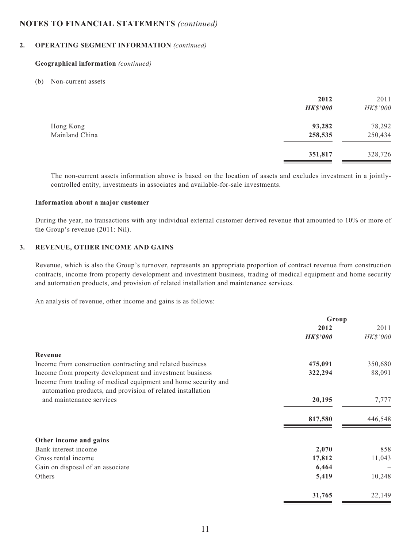#### **2. OPERATING SEGMENT INFORMATION** *(continued)*

#### **Geographical information** *(continued)*

(b) Non-current assets

|                | 2012<br><b>HK\$'000</b> | 2011<br>HK\$'000 |
|----------------|-------------------------|------------------|
| Hong Kong      | 93,282                  | 78,292           |
| Mainland China | 258,535                 | 250,434          |
|                | 351,817                 | 328,726          |

The non-current assets information above is based on the location of assets and excludes investment in a jointlycontrolled entity, investments in associates and available-for-sale investments.

#### **Information about a major customer**

During the year, no transactions with any individual external customer derived revenue that amounted to 10% or more of the Group's revenue (2011: Nil).

#### **3. REVENUE, OTHER INCOME AND GAINS**

Revenue, which is also the Group's turnover, represents an appropriate proportion of contract revenue from construction contracts, income from property development and investment business, trading of medical equipment and home security and automation products, and provision of related installation and maintenance services.

An analysis of revenue, other income and gains is as follows:

|                                                                                                                              | Group           |          |
|------------------------------------------------------------------------------------------------------------------------------|-----------------|----------|
|                                                                                                                              | 2012            | 2011     |
|                                                                                                                              | <b>HK\$'000</b> | HK\$'000 |
| Revenue                                                                                                                      |                 |          |
| Income from construction contracting and related business                                                                    | 475,091         | 350,680  |
| Income from property development and investment business                                                                     | 322,294         | 88,091   |
| Income from trading of medical equipment and home security and<br>automation products, and provision of related installation |                 |          |
| and maintenance services                                                                                                     | 20,195          | 7,777    |
|                                                                                                                              | 817,580         | 446,548  |
| Other income and gains                                                                                                       |                 |          |
| Bank interest income                                                                                                         | 2,070           | 858      |
| Gross rental income                                                                                                          | 17,812          | 11,043   |
| Gain on disposal of an associate                                                                                             | 6,464           |          |
| Others                                                                                                                       | 5,419           | 10,248   |
|                                                                                                                              | 31,765          | 22,149   |
|                                                                                                                              |                 |          |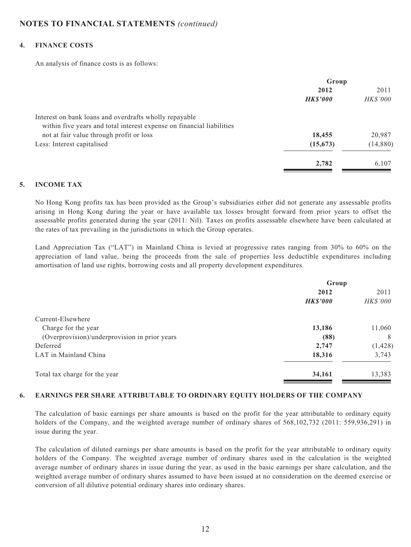#### **4. FINANCE COSTS**

An analysis of finance costs is as follows:

|                                                                       | Group           |                 |
|-----------------------------------------------------------------------|-----------------|-----------------|
|                                                                       | 2012            | 2011            |
|                                                                       | <b>HK\$'000</b> | <i>HK\$'000</i> |
| Interest on bank loans and overdrafts wholly repayable                |                 |                 |
| within five years and total interest expense on financial liabilities |                 |                 |
| not at fair value through profit or loss                              | 18,455          | 20,987          |
| Less: Interest capitalised                                            | (15, 673)       | (14,880)        |
|                                                                       | 2,782           | 6,107           |

#### **5. INCOME TAX**

No Hong Kong profits tax has been provided as the Group's subsidiaries either did not generate any assessable profits arising in Hong Kong during the year or have available tax losses brought forward from prior years to offset the assessable profits generated during the year (2011: Nil). Taxes on profits assessable elsewhere have been calculated at the rates of tax prevailing in the jurisdictions in which the Group operates.

Land Appreciation Tax ("LAT") in Mainland China is levied at progressive rates ranging from 30% to 60% on the appreciation of land value, being the proceeds from the sale of properties less deductible expenditures including amortisation of land use rights, borrowing costs and all property development expenditures.

| Group           |                 |
|-----------------|-----------------|
| 2012            |                 |
| <b>HK\$'000</b> | <b>HK\$'000</b> |
|                 |                 |
| 13,186          | 11,060          |
| (88)            | 8               |
| 2,747           | (1, 428)        |
| 18,316          | 3,743           |
| 34,161          | 13,383          |
|                 |                 |

#### **6. EARNINGS PER SHARE ATTRIBUTABLE TO ORDINARY EQUITY HOLDERS OF THE COMPANY**

The calculation of basic earnings per share amounts is based on the profit for the year attributable to ordinary equity holders of the Company, and the weighted average number of ordinary shares of 568,102,732 (2011: 559,936,291) in issue during the year.

The calculation of diluted earnings per share amounts is based on the profit for the year attributable to ordinary equity holders of the Company. The weighted average number of ordinary shares used in the calculation is the weighted average number of ordinary shares in issue during the year, as used in the basic earnings per share calculation, and the weighted average number of ordinary shares assumed to have been issued at no consideration on the deemed exercise or conversion of all dilutive potential ordinary shares into ordinary shares.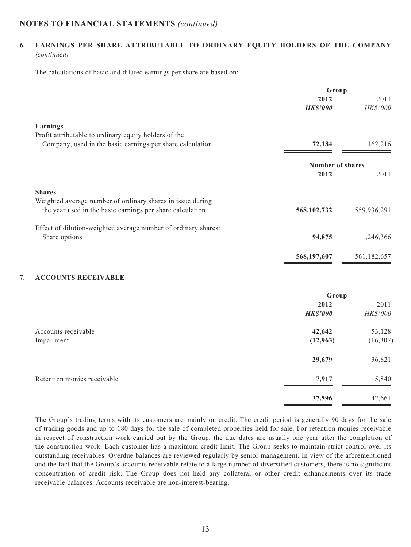#### **6. EARNINGS PER SHARE ATTRIBUTABLE TO ORDINARY EQUITY HOLDERS OF THE COMPANY**  *(continued)*

The calculations of basic and diluted earnings per share are based on:

|                                                                | Group            |                 |
|----------------------------------------------------------------|------------------|-----------------|
|                                                                | 2012             | 2011            |
|                                                                | <b>HK\$'000</b>  | <b>HK\$'000</b> |
| <b>Earnings</b>                                                |                  |                 |
| Profit attributable to ordinary equity holders of the          |                  |                 |
| Company, used in the basic earnings per share calculation      | 72,184           | 162,216         |
|                                                                | Number of shares |                 |
|                                                                | 2012             | 2011            |
| <b>Shares</b>                                                  |                  |                 |
| Weighted average number of ordinary shares in issue during     |                  |                 |
| the year used in the basic earnings per share calculation      | 568, 102, 732    | 559,936,291     |
| Effect of dilution-weighted average number of ordinary shares: |                  |                 |
| Share options                                                  | 94,875           | 1,246,366       |
|                                                                | 568,197,607      | 561,182,657     |

|                             | Group           |           |
|-----------------------------|-----------------|-----------|
|                             | 2012            | 2011      |
|                             | <b>HK\$'000</b> | HK\$'000  |
| Accounts receivable         | 42,642          | 53,128    |
| Impairment                  | (12, 963)       | (16, 307) |
|                             | 29,679          | 36,821    |
| Retention monies receivable | 7,917           | 5,840     |
|                             | 37,596          | 42,661    |

The Group's trading terms with its customers are mainly on credit. The credit period is generally 90 days for the sale of trading goods and up to 180 days for the sale of completed properties held for sale. For retention monies receivable in respect of construction work carried out by the Group, the due dates are usually one year after the completion of the construction work. Each customer has a maximum credit limit. The Group seeks to maintain strict control over its outstanding receivables. Overdue balances are reviewed regularly by senior management. In view of the aforementioned and the fact that the Group's accounts receivable relate to a large number of diversified customers, there is no significant concentration of credit risk. The Group does not held any collateral or other credit enhancements over its trade receivable balances. Accounts receivable are non-interest-bearing.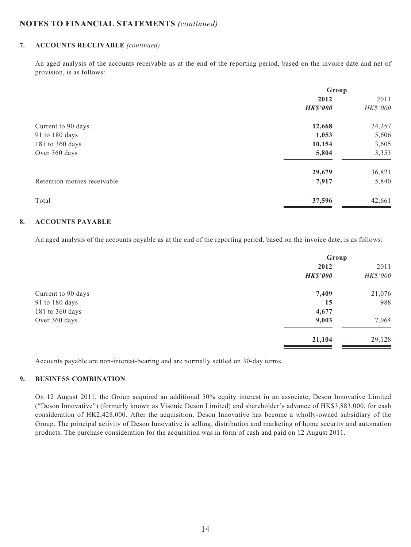#### **7. ACCOUNTS RECEIVABLE** *(continued)*

An aged analysis of the accounts receivable as at the end of the reporting period, based on the invoice date and net of provision, is as follows:

|                             | Group           |          |
|-----------------------------|-----------------|----------|
|                             | 2012            | 2011     |
|                             | <b>HK\$'000</b> | HK\$'000 |
| Current to 90 days          | 12,668          | 24,257   |
| 91 to 180 days              | 1,053           | 5,606    |
| 181 to 360 days             | 10,154          | 3,605    |
| Over 360 days               | 5,804           | 3,353    |
|                             | 29,679          | 36,821   |
| Retention monies receivable | 7,917           | 5,840    |
| Total                       | 37,596          | 42,661   |

#### **8. ACCOUNTS PAYABLE**

An aged analysis of the accounts payable as at the end of the reporting period, based on the invoice date, is as follows:

|                    | Group           |          |
|--------------------|-----------------|----------|
|                    | 2012            | 2011     |
|                    | <b>HK\$'000</b> | HK\$'000 |
| Current to 90 days | 7,409           | 21,076   |
| 91 to 180 days     | 15              | 988      |
| 181 to 360 days    | 4,677           |          |
| Over 360 days      | 9,003           | 7,064    |
|                    | 21,104          | 29,128   |
|                    |                 |          |

Accounts payable are non-interest-bearing and are normally settled on 30-day terms.

#### **9. BUSINESS COMBINATION**

On 12 August 2011, the Group acquired an additional 50% equity interest in an associate, Deson Innovative Limited ("Deson Innovative") (formerly known as Visonic Deson Limited) and shareholder's advance of HK\$3,883,000, for cash consideration of HK2,428,000. After the acquisition, Deson Innovative has become a wholly-owned subsidiary of the Group. The principal activity of Deson Innovative is selling, distribution and marketing of home security and automation products. The purchase consideration for the acquisition was in form of cash and paid on 12 August 2011.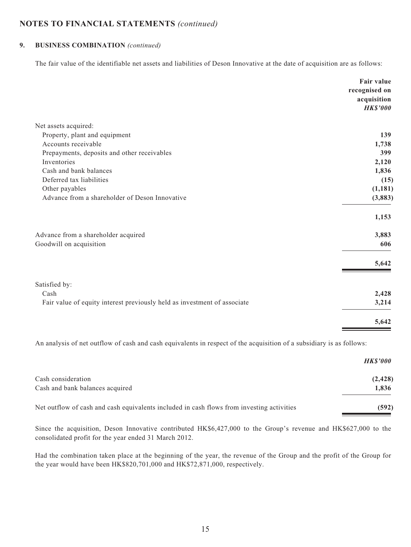#### **9. BUSINESS COMBINATION** *(continued)*

The fair value of the identifiable net assets and liabilities of Deson Innovative at the date of acquisition are as follows:

|                                                                          | Fair value<br>recognised on<br>acquisition<br><b>HK\$'000</b> |
|--------------------------------------------------------------------------|---------------------------------------------------------------|
| Net assets acquired:                                                     |                                                               |
| Property, plant and equipment                                            | 139                                                           |
| Accounts receivable                                                      | 1,738                                                         |
| Prepayments, deposits and other receivables                              | 399                                                           |
| Inventories                                                              | 2,120                                                         |
| Cash and bank balances                                                   | 1,836                                                         |
| Deferred tax liabilities                                                 | (15)                                                          |
| Other payables                                                           | (1, 181)                                                      |
| Advance from a shareholder of Deson Innovative                           | (3,883)                                                       |
|                                                                          | 1,153                                                         |
| Advance from a shareholder acquired                                      | 3,883                                                         |
| Goodwill on acquisition                                                  | 606                                                           |
|                                                                          | 5,642                                                         |
| Satisfied by:                                                            |                                                               |
| Cash                                                                     | 2,428                                                         |
| Fair value of equity interest previously held as investment of associate | 3,214                                                         |
|                                                                          | 5,642                                                         |

An analysis of net outflow of cash and cash equivalents in respect of the acquisition of a subsidiary is as follows:

| <b>HK\$'000</b> |
|-----------------|
| (2, 428)        |
| 1,836           |
| (592)           |
|                 |

Since the acquisition, Deson Innovative contributed HK\$6,427,000 to the Group's revenue and HK\$627,000 to the consolidated profit for the year ended 31 March 2012.

Had the combination taken place at the beginning of the year, the revenue of the Group and the profit of the Group for the year would have been HK\$820,701,000 and HK\$72,871,000, respectively.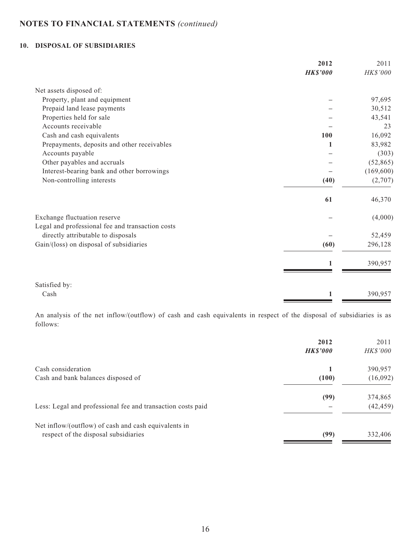### **10. DISPOSAL OF SUBSIDIARIES**

|                                                  | 2012            | 2011       |
|--------------------------------------------------|-----------------|------------|
|                                                  | <b>HK\$'000</b> | HK\$'000   |
| Net assets disposed of:                          |                 |            |
| Property, plant and equipment                    |                 | 97,695     |
| Prepaid land lease payments                      |                 | 30,512     |
| Properties held for sale                         |                 | 43,541     |
| Accounts receivable                              |                 | 23         |
| Cash and cash equivalents                        | <b>100</b>      | 16,092     |
| Prepayments, deposits and other receivables      | 1               | 83,982     |
| Accounts payable                                 |                 | (303)      |
| Other payables and accruals                      |                 | (52, 865)  |
| Interest-bearing bank and other borrowings       |                 | (169, 600) |
| Non-controlling interests                        | (40)            | (2,707)    |
|                                                  | 61              | 46,370     |
| Exchange fluctuation reserve                     |                 | (4,000)    |
| Legal and professional fee and transaction costs |                 |            |
| directly attributable to disposals               |                 | 52,459     |
| Gain/(loss) on disposal of subsidiaries          | (60)            | 296,128    |
|                                                  |                 | 390,957    |
|                                                  |                 |            |
| Satisfied by:                                    |                 |            |
| Cash                                             | 1               | 390,957    |

An analysis of the net inflow/(outflow) of cash and cash equivalents in respect of the disposal of subsidiaries is as follows:

|                                                             | 2012<br><b>HK\$'000</b> | 2011<br><i>HK\$'000</i> |
|-------------------------------------------------------------|-------------------------|-------------------------|
| Cash consideration                                          |                         | 390,957                 |
| Cash and bank balances disposed of                          | (100)                   | (16,092)                |
|                                                             | (99)                    | 374,865                 |
| Less: Legal and professional fee and transaction costs paid |                         | (42, 459)               |
| Net inflow/(outflow) of cash and cash equivalents in        |                         |                         |
| respect of the disposal subsidiaries                        | (99)                    | 332,406                 |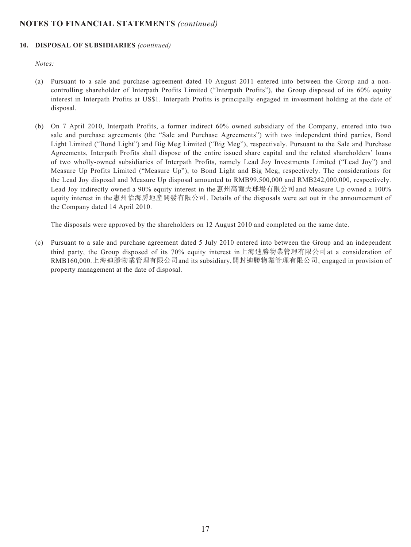#### **10. DISPOSAL OF SUBSIDIARIES** *(continued)*

*Notes:*

- (a) Pursuant to a sale and purchase agreement dated 10 August 2011 entered into between the Group and a noncontrolling shareholder of Interpath Profits Limited ("Interpath Profits"), the Group disposed of its 60% equity interest in Interpath Profits at US\$1. Interpath Profits is principally engaged in investment holding at the date of disposal.
- (b) On 7 April 2010, Interpath Profits, a former indirect 60% owned subsidiary of the Company, entered into two sale and purchase agreements (the "Sale and Purchase Agreements") with two independent third parties, Bond Light Limited ("Bond Light") and Big Meg Limited ("Big Meg"), respectively. Pursuant to the Sale and Purchase Agreements, Interpath Profits shall dispose of the entire issued share capital and the related shareholders' loans of two wholly-owned subsidiaries of Interpath Profits, namely Lead Joy Investments Limited ("Lead Joy") and Measure Up Profits Limited ("Measure Up"), to Bond Light and Big Meg, respectively. The considerations for the Lead Joy disposal and Measure Up disposal amounted to RMB99,500,000 and RMB242,000,000, respectively. Lead Joy indirectly owned a 90% equity interest in the惠州高爾夫球場有限公司 and Measure Up owned a 100% equity interest in the 惠州怡海房地產開發有限公司. Details of the disposals were set out in the announcement of the Company dated 14 April 2010.

The disposals were approved by the shareholders on 12 August 2010 and completed on the same date.

(c) Pursuant to a sale and purchase agreement dated 5 July 2010 entered into between the Group and an independent third party, the Group disposed of its 70% equity interest in上海迪勝物業管理有限公司at a consideration of RMB160,000.上海迪勝物業管理有限公司and its subsidiary,開封迪勝物業管理有限公司, engaged in provision of property management at the date of disposal.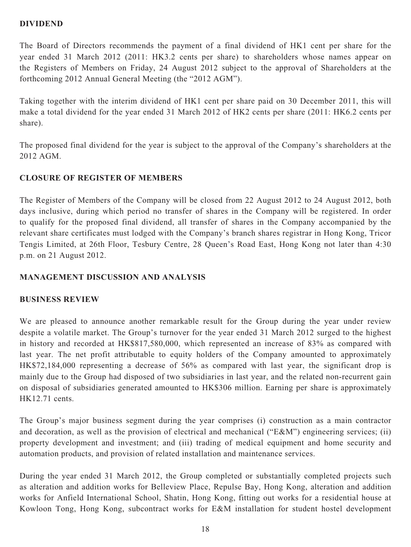### **DIVIDEND**

The Board of Directors recommends the payment of a final dividend of HK1 cent per share for the year ended 31 March 2012 (2011: HK3.2 cents per share) to shareholders whose names appear on the Registers of Members on Friday, 24 August 2012 subject to the approval of Shareholders at the forthcoming 2012 Annual General Meeting (the "2012 AGM").

Taking together with the interim dividend of HK1 cent per share paid on 30 December 2011, this will make a total dividend for the year ended 31 March 2012 of HK2 cents per share (2011: HK6.2 cents per share).

The proposed final dividend for the year is subject to the approval of the Company's shareholders at the 2012 AGM.

### **CLOSURE OF REGISTER OF MEMBERS**

The Register of Members of the Company will be closed from 22 August 2012 to 24 August 2012, both days inclusive, during which period no transfer of shares in the Company will be registered. In order to qualify for the proposed final dividend, all transfer of shares in the Company accompanied by the relevant share certificates must lodged with the Company's branch shares registrar in Hong Kong, Tricor Tengis Limited, at 26th Floor, Tesbury Centre, 28 Queen's Road East, Hong Kong not later than 4:30 p.m. on 21 August 2012.

### **MANAGEMENT DISCUSSION AND ANALYSIS**

### **BUSINESS REVIEW**

We are pleased to announce another remarkable result for the Group during the year under review despite a volatile market. The Group's turnover for the year ended 31 March 2012 surged to the highest in history and recorded at HK\$817,580,000, which represented an increase of 83% as compared with last year. The net profit attributable to equity holders of the Company amounted to approximately HK\$72,184,000 representing a decrease of 56% as compared with last year, the significant drop is mainly due to the Group had disposed of two subsidiaries in last year, and the related non-recurrent gain on disposal of subsidiaries generated amounted to HK\$306 million. Earning per share is approximately HK12.71 cents.

The Group's major business segment during the year comprises (i) construction as a main contractor and decoration, as well as the provision of electrical and mechanical ("E&M") engineering services; (ii) property development and investment; and (iii) trading of medical equipment and home security and automation products, and provision of related installation and maintenance services.

During the year ended 31 March 2012, the Group completed or substantially completed projects such as alteration and addition works for Belleview Place, Repulse Bay, Hong Kong, alteration and addition works for Anfield International School, Shatin, Hong Kong, fitting out works for a residential house at Kowloon Tong, Hong Kong, subcontract works for E&M installation for student hostel development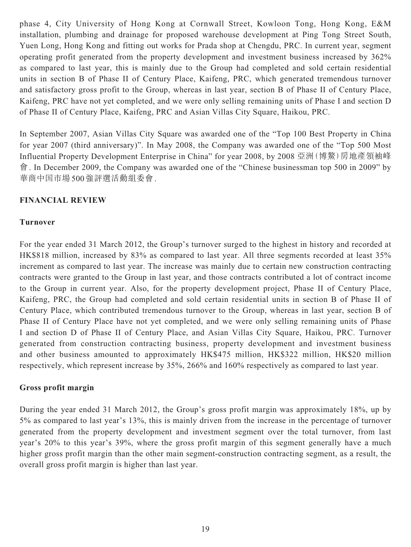phase 4, City University of Hong Kong at Cornwall Street, Kowloon Tong, Hong Kong, E&M installation, plumbing and drainage for proposed warehouse development at Ping Tong Street South, Yuen Long, Hong Kong and fitting out works for Prada shop at Chengdu, PRC. In current year, segment operating profit generated from the property development and investment business increased by 362% as compared to last year, this is mainly due to the Group had completed and sold certain residential units in section B of Phase II of Century Place, Kaifeng, PRC, which generated tremendous turnover and satisfactory gross profit to the Group, whereas in last year, section B of Phase II of Century Place, Kaifeng, PRC have not yet completed, and we were only selling remaining units of Phase I and section D of Phase II of Century Place, Kaifeng, PRC and Asian Villas City Square, Haikou, PRC.

In September 2007, Asian Villas City Square was awarded one of the "Top 100 Best Property in China for year 2007 (third anniversary)". In May 2008, the Company was awarded one of the "Top 500 Most Influential Property Development Enterprise in China" for year 2008, by 2008 亞洲(博鰲)房地產領袖峰 會. In December 2009, the Company was awarded one of the "Chinese businessman top 500 in 2009" by 華商中国市場500強評選活動組委會.

### **FINANCIAL REVIEW**

### **Turnover**

For the year ended 31 March 2012, the Group's turnover surged to the highest in history and recorded at HK\$818 million, increased by 83% as compared to last year. All three segments recorded at least 35% increment as compared to last year. The increase was mainly due to certain new construction contracting contracts were granted to the Group in last year, and those contracts contributed a lot of contract income to the Group in current year. Also, for the property development project, Phase II of Century Place, Kaifeng, PRC, the Group had completed and sold certain residential units in section B of Phase II of Century Place, which contributed tremendous turnover to the Group, whereas in last year, section B of Phase II of Century Place have not yet completed, and we were only selling remaining units of Phase I and section D of Phase II of Century Place, and Asian Villas City Square, Haikou, PRC. Turnover generated from construction contracting business, property development and investment business and other business amounted to approximately HK\$475 million, HK\$322 million, HK\$20 million respectively, which represent increase by 35%, 266% and 160% respectively as compared to last year.

### **Gross profit margin**

During the year ended 31 March 2012, the Group's gross profit margin was approximately 18%, up by 5% as compared to last year's 13%, this is mainly driven from the increase in the percentage of turnover generated from the property development and investment segment over the total turnover, from last year's 20% to this year's 39%, where the gross profit margin of this segment generally have a much higher gross profit margin than the other main segment-construction contracting segment, as a result, the overall gross profit margin is higher than last year.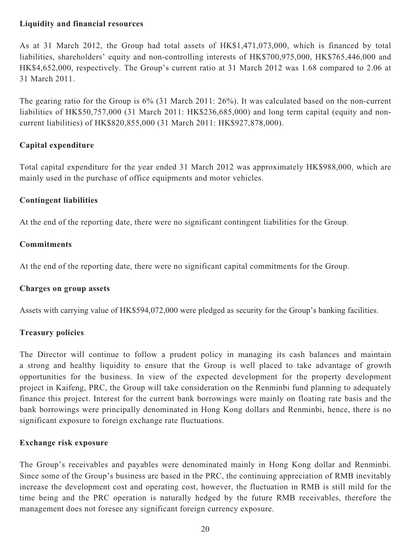### **Liquidity and financial resources**

As at 31 March 2012, the Group had total assets of HK\$1,471,073,000, which is financed by total liabilities, shareholders' equity and non-controlling interests of HK\$700,975,000, HK\$765,446,000 and HK\$4,652,000, respectively. The Group's current ratio at 31 March 2012 was 1.68 compared to 2.06 at 31 March 2011.

The gearing ratio for the Group is 6% (31 March 2011: 26%). It was calculated based on the non-current liabilities of HK\$50,757,000 (31 March 2011: HK\$236,685,000) and long term capital (equity and noncurrent liabilities) of HK\$820,855,000 (31 March 2011: HK\$927,878,000).

## **Capital expenditure**

Total capital expenditure for the year ended 31 March 2012 was approximately HK\$988,000, which are mainly used in the purchase of office equipments and motor vehicles.

### **Contingent liabilities**

At the end of the reporting date, there were no significant contingent liabilities for the Group.

### **Commitments**

At the end of the reporting date, there were no significant capital commitments for the Group.

### **Charges on group assets**

Assets with carrying value of HK\$594,072,000 were pledged as security for the Group's banking facilities.

## **Treasury policies**

The Director will continue to follow a prudent policy in managing its cash balances and maintain a strong and healthy liquidity to ensure that the Group is well placed to take advantage of growth opportunities for the business. In view of the expected development for the property development project in Kaifeng, PRC, the Group will take consideration on the Renminbi fund planning to adequately finance this project. Interest for the current bank borrowings were mainly on floating rate basis and the bank borrowings were principally denominated in Hong Kong dollars and Renminbi, hence, there is no significant exposure to foreign exchange rate fluctuations.

### **Exchange risk exposure**

The Group's receivables and payables were denominated mainly in Hong Kong dollar and Renminbi. Since some of the Group's business are based in the PRC, the continuing appreciation of RMB inevitably increase the development cost and operating cost, however, the fluctuation in RMB is still mild for the time being and the PRC operation is naturally hedged by the future RMB receivables, therefore the management does not foresee any significant foreign currency exposure.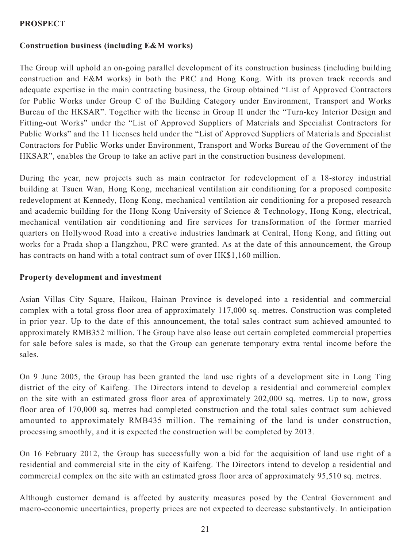### **PROSPECT**

### **Construction business (including E&M works)**

The Group will uphold an on-going parallel development of its construction business (including building construction and E&M works) in both the PRC and Hong Kong. With its proven track records and adequate expertise in the main contracting business, the Group obtained "List of Approved Contractors for Public Works under Group C of the Building Category under Environment, Transport and Works Bureau of the HKSAR". Together with the license in Group II under the "Turn-key Interior Design and Fitting-out Works" under the "List of Approved Suppliers of Materials and Specialist Contractors for Public Works" and the 11 licenses held under the "List of Approved Suppliers of Materials and Specialist Contractors for Public Works under Environment, Transport and Works Bureau of the Government of the HKSAR", enables the Group to take an active part in the construction business development.

During the year, new projects such as main contractor for redevelopment of a 18-storey industrial building at Tsuen Wan, Hong Kong, mechanical ventilation air conditioning for a proposed composite redevelopment at Kennedy, Hong Kong, mechanical ventilation air conditioning for a proposed research and academic building for the Hong Kong University of Science & Technology, Hong Kong, electrical, mechanical ventilation air conditioning and fire services for transformation of the former married quarters on Hollywood Road into a creative industries landmark at Central, Hong Kong, and fitting out works for a Prada shop a Hangzhou, PRC were granted. As at the date of this announcement, the Group has contracts on hand with a total contract sum of over HK\$1,160 million.

### **Property development and investment**

Asian Villas City Square, Haikou, Hainan Province is developed into a residential and commercial complex with a total gross floor area of approximately 117,000 sq. metres. Construction was completed in prior year. Up to the date of this announcement, the total sales contract sum achieved amounted to approximately RMB352 million. The Group have also lease out certain completed commercial properties for sale before sales is made, so that the Group can generate temporary extra rental income before the sales.

On 9 June 2005, the Group has been granted the land use rights of a development site in Long Ting district of the city of Kaifeng. The Directors intend to develop a residential and commercial complex on the site with an estimated gross floor area of approximately 202,000 sq. metres. Up to now, gross floor area of 170,000 sq. metres had completed construction and the total sales contract sum achieved amounted to approximately RMB435 million. The remaining of the land is under construction, processing smoothly, and it is expected the construction will be completed by 2013.

On 16 February 2012, the Group has successfully won a bid for the acquisition of land use right of a residential and commercial site in the city of Kaifeng. The Directors intend to develop a residential and commercial complex on the site with an estimated gross floor area of approximately 95,510 sq. metres.

Although customer demand is affected by austerity measures posed by the Central Government and macro-economic uncertainties, property prices are not expected to decrease substantively. In anticipation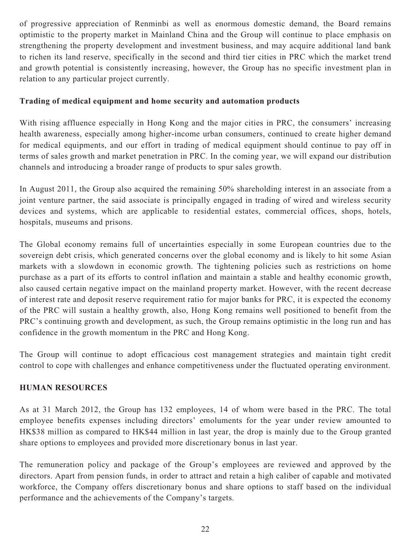of progressive appreciation of Renminbi as well as enormous domestic demand, the Board remains optimistic to the property market in Mainland China and the Group will continue to place emphasis on strengthening the property development and investment business, and may acquire additional land bank to richen its land reserve, specifically in the second and third tier cities in PRC which the market trend and growth potential is consistently increasing, however, the Group has no specific investment plan in relation to any particular project currently.

### **Trading of medical equipment and home security and automation products**

With rising affluence especially in Hong Kong and the major cities in PRC, the consumers' increasing health awareness, especially among higher-income urban consumers, continued to create higher demand for medical equipments, and our effort in trading of medical equipment should continue to pay off in terms of sales growth and market penetration in PRC. In the coming year, we will expand our distribution channels and introducing a broader range of products to spur sales growth.

In August 2011, the Group also acquired the remaining 50% shareholding interest in an associate from a joint venture partner, the said associate is principally engaged in trading of wired and wireless security devices and systems, which are applicable to residential estates, commercial offices, shops, hotels, hospitals, museums and prisons.

The Global economy remains full of uncertainties especially in some European countries due to the sovereign debt crisis, which generated concerns over the global economy and is likely to hit some Asian markets with a slowdown in economic growth. The tightening policies such as restrictions on home purchase as a part of its efforts to control inflation and maintain a stable and healthy economic growth, also caused certain negative impact on the mainland property market. However, with the recent decrease of interest rate and deposit reserve requirement ratio for major banks for PRC, it is expected the economy of the PRC will sustain a healthy growth, also, Hong Kong remains well positioned to benefit from the PRC's continuing growth and development, as such, the Group remains optimistic in the long run and has confidence in the growth momentum in the PRC and Hong Kong.

The Group will continue to adopt efficacious cost management strategies and maintain tight credit control to cope with challenges and enhance competitiveness under the fluctuated operating environment.

### **HUMAN RESOURCES**

As at 31 March 2012, the Group has 132 employees, 14 of whom were based in the PRC. The total employee benefits expenses including directors' emoluments for the year under review amounted to HK\$38 million as compared to HK\$44 million in last year, the drop is mainly due to the Group granted share options to employees and provided more discretionary bonus in last year.

The remuneration policy and package of the Group's employees are reviewed and approved by the directors. Apart from pension funds, in order to attract and retain a high caliber of capable and motivated workforce, the Company offers discretionary bonus and share options to staff based on the individual performance and the achievements of the Company's targets.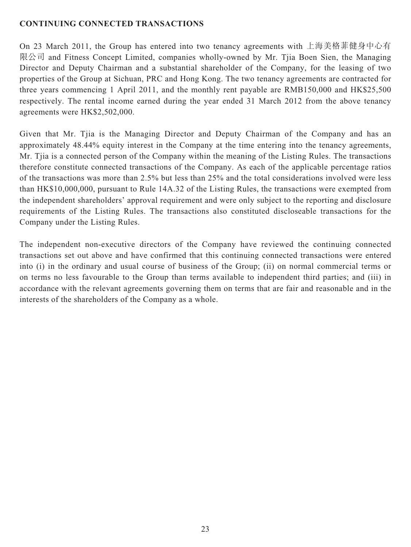### **CONTINUING CONNECTED TRANSACTIONS**

On 23 March 2011, the Group has entered into two tenancy agreements with 上海美格菲健身中心有 限公司 and Fitness Concept Limited, companies wholly-owned by Mr. Tjia Boen Sien, the Managing Director and Deputy Chairman and a substantial shareholder of the Company, for the leasing of two properties of the Group at Sichuan, PRC and Hong Kong. The two tenancy agreements are contracted for three years commencing 1 April 2011, and the monthly rent payable are RMB150,000 and HK\$25,500 respectively. The rental income earned during the year ended 31 March 2012 from the above tenancy agreements were HK\$2,502,000.

Given that Mr. Tjia is the Managing Director and Deputy Chairman of the Company and has an approximately 48.44% equity interest in the Company at the time entering into the tenancy agreements, Mr. Tjia is a connected person of the Company within the meaning of the Listing Rules. The transactions therefore constitute connected transactions of the Company. As each of the applicable percentage ratios of the transactions was more than 2.5% but less than 25% and the total considerations involved were less than HK\$10,000,000, pursuant to Rule 14A.32 of the Listing Rules, the transactions were exempted from the independent shareholders' approval requirement and were only subject to the reporting and disclosure requirements of the Listing Rules. The transactions also constituted discloseable transactions for the Company under the Listing Rules.

The independent non-executive directors of the Company have reviewed the continuing connected transactions set out above and have confirmed that this continuing connected transactions were entered into (i) in the ordinary and usual course of business of the Group; (ii) on normal commercial terms or on terms no less favourable to the Group than terms available to independent third parties; and (iii) in accordance with the relevant agreements governing them on terms that are fair and reasonable and in the interests of the shareholders of the Company as a whole.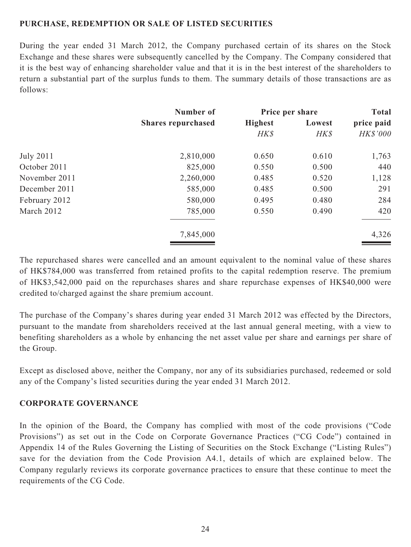### **PURCHASE, REDEMPTION OR SALE OF LISTED SECURITIES**

During the year ended 31 March 2012, the Company purchased certain of its shares on the Stock Exchange and these shares were subsequently cancelled by the Company. The Company considered that it is the best way of enhancing shareholder value and that it is in the best interest of the shareholders to return a substantial part of the surplus funds to them. The summary details of those transactions are as follows:

|                  | Number of                 |                | Price per share | <b>Total</b> |
|------------------|---------------------------|----------------|-----------------|--------------|
|                  | <b>Shares repurchased</b> | <b>Highest</b> | Lowest          | price paid   |
|                  |                           | HK\$           | HK\$            | HK\$'000     |
| <b>July 2011</b> | 2,810,000                 | 0.650          | 0.610           | 1,763        |
| October 2011     | 825,000                   | 0.550          | 0.500           | 440          |
| November 2011    | 2,260,000                 | 0.485          | 0.520           | 1,128        |
| December 2011    | 585,000                   | 0.485          | 0.500           | 291          |
| February 2012    | 580,000                   | 0.495          | 0.480           | 284          |
| March 2012       | 785,000                   | 0.550          | 0.490           | 420          |
|                  | 7,845,000                 |                |                 | 4,326        |

The repurchased shares were cancelled and an amount equivalent to the nominal value of these shares of HK\$784,000 was transferred from retained profits to the capital redemption reserve. The premium of HK\$3,542,000 paid on the repurchases shares and share repurchase expenses of HK\$40,000 were credited to/charged against the share premium account.

The purchase of the Company's shares during year ended 31 March 2012 was effected by the Directors, pursuant to the mandate from shareholders received at the last annual general meeting, with a view to benefiting shareholders as a whole by enhancing the net asset value per share and earnings per share of the Group.

Except as disclosed above, neither the Company, nor any of its subsidiaries purchased, redeemed or sold any of the Company's listed securities during the year ended 31 March 2012.

### **CORPORATE GOVERNANCE**

In the opinion of the Board, the Company has complied with most of the code provisions ("Code Provisions") as set out in the Code on Corporate Governance Practices ("CG Code") contained in Appendix 14 of the Rules Governing the Listing of Securities on the Stock Exchange ("Listing Rules") save for the deviation from the Code Provision A4.1, details of which are explained below. The Company regularly reviews its corporate governance practices to ensure that these continue to meet the requirements of the CG Code.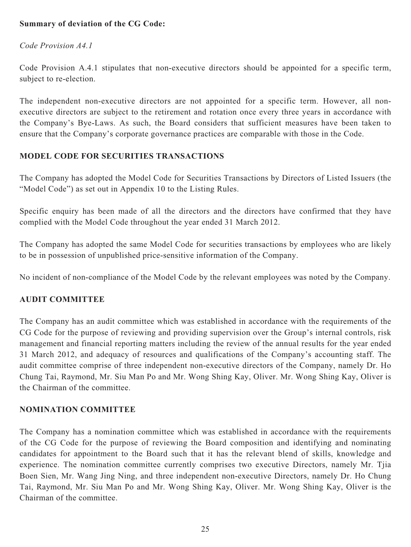### **Summary of deviation of the CG Code:**

### *Code Provision A4.1*

Code Provision A.4.1 stipulates that non-executive directors should be appointed for a specific term, subject to re-election.

The independent non-executive directors are not appointed for a specific term. However, all nonexecutive directors are subject to the retirement and rotation once every three years in accordance with the Company's Bye-Laws. As such, the Board considers that sufficient measures have been taken to ensure that the Company's corporate governance practices are comparable with those in the Code.

## **MODEL CODE FOR SECURITIES TRANSACTIONS**

The Company has adopted the Model Code for Securities Transactions by Directors of Listed Issuers (the "Model Code") as set out in Appendix 10 to the Listing Rules.

Specific enquiry has been made of all the directors and the directors have confirmed that they have complied with the Model Code throughout the year ended 31 March 2012.

The Company has adopted the same Model Code for securities transactions by employees who are likely to be in possession of unpublished price-sensitive information of the Company.

No incident of non-compliance of the Model Code by the relevant employees was noted by the Company.

### **AUDIT COMMITTEE**

The Company has an audit committee which was established in accordance with the requirements of the CG Code for the purpose of reviewing and providing supervision over the Group's internal controls, risk management and financial reporting matters including the review of the annual results for the year ended 31 March 2012, and adequacy of resources and qualifications of the Company's accounting staff. The audit committee comprise of three independent non-executive directors of the Company, namely Dr. Ho Chung Tai, Raymond, Mr. Siu Man Po and Mr. Wong Shing Kay, Oliver. Mr. Wong Shing Kay, Oliver is the Chairman of the committee.

### **NOMINATION COMMITTEE**

The Company has a nomination committee which was established in accordance with the requirements of the CG Code for the purpose of reviewing the Board composition and identifying and nominating candidates for appointment to the Board such that it has the relevant blend of skills, knowledge and experience. The nomination committee currently comprises two executive Directors, namely Mr. Tjia Boen Sien, Mr. Wang Jing Ning, and three independent non-executive Directors, namely Dr. Ho Chung Tai, Raymond, Mr. Siu Man Po and Mr. Wong Shing Kay, Oliver. Mr. Wong Shing Kay, Oliver is the Chairman of the committee.